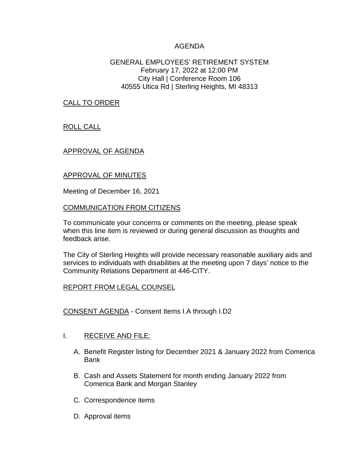## AGENDA

### GENERAL EMPLOYEES' RETIREMENT SYSTEM February 17, 2022 at 12:00 PM City Hall | Conference Room 106 40555 Utica Rd | Sterling Heights, MI 48313

CALL TO ORDER

ROLL CALL

## APPROVAL OF AGENDA

## APPROVAL OF MINUTES

Meeting of December 16, 2021

#### COMMUNICATION FROM CITIZENS

To communicate your concerns or comments on the meeting, please speak when this line item is reviewed or during general discussion as thoughts and feedback arise.

The City of Sterling Heights will provide necessary reasonable auxiliary aids and services to individuals with disabilities at the meeting upon 7 days' notice to the Community Relations Department at 446-CITY.

### REPORT FROM LEGAL COUNSEL

CONSENT AGENDA - Consent Items I.A through I.D2

### I. RECEIVE AND FILE:

- A. Benefit Register listing for December 2021 & January 2022 from Comerica Bank
- B. Cash and Assets Statement for month ending January 2022 from Comerica Bank and Morgan Stanley
- C. Correspondence items
- D. Approval items